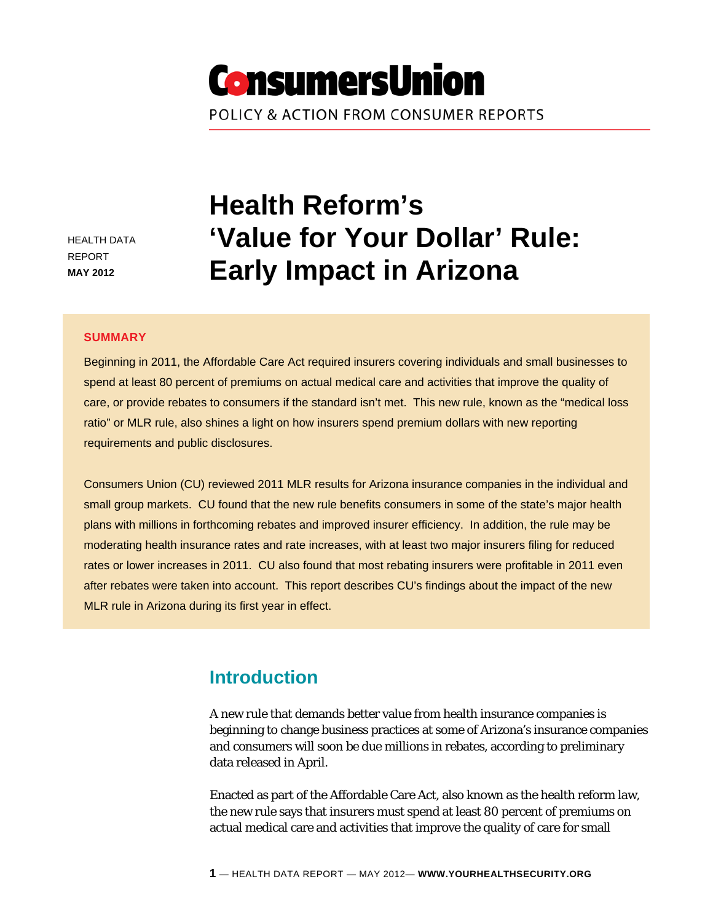# **ConsumersUnion** POLICY & ACTION FROM CONSUMER REPORTS

HEALTH DATA REPORT **MAY 2012**

# **Health Reform's 'Value for Your Dollar' Rule: Early Impact in Arizona**

#### **SUMMARY**

Beginning in 2011, the Affordable Care Act required insurers covering individuals and small businesses to spend at least 80 percent of premiums on actual medical care and activities that improve the quality of care, or provide rebates to consumers if the standard isn't met. This new rule, known as the "medical loss ratio" or MLR rule, also shines a light on how insurers spend premium dollars with new reporting requirements and public disclosures.

Consumers Union (CU) reviewed 2011 MLR results for Arizona insurance companies in the individual and small group markets. CU found that the new rule benefits consumers in some of the state's major health plans with millions in forthcoming rebates and improved insurer efficiency. In addition, the rule may be moderating health insurance rates and rate increases, with at least two major insurers filing for reduced rates or lower increases in 2011. CU also found that most rebating insurers were profitable in 2011 even after rebates were taken into account. This report describes CU's findings about the impact of the new MLR rule in Arizona during its first year in effect.

# **Introduction**

A new rule that demands better value from health insurance companies is beginning to change business practices at some of Arizona's insurance companies and consumers will soon be due millions in rebates, according to preliminary data released in April.

Enacted as part of the Affordable Care Act, also known as the health reform law, the new rule says that insurers must spend at least 80 percent of premiums on actual medical care and activities that improve the quality of care for small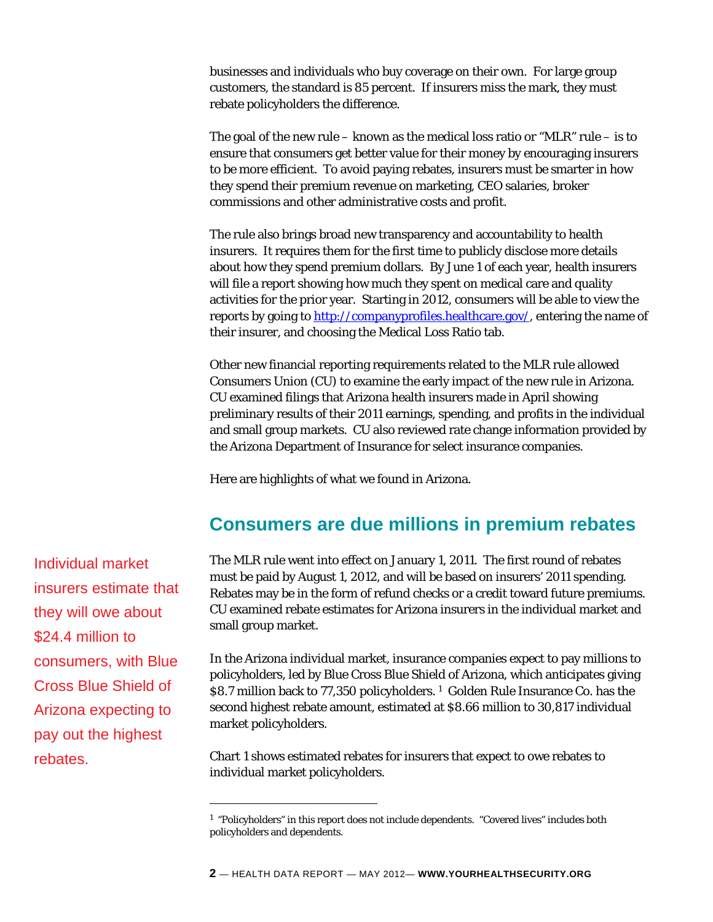businesses and individuals who buy coverage on their own. For large group customers, the standard is 85 percent. If insurers miss the mark, they must rebate policyholders the difference.

The goal of the new rule – known as the medical loss ratio or "MLR" rule – is to ensure that consumers get better value for their money by encouraging insurers to be more efficient. To avoid paying rebates, insurers must be smarter in how they spend their premium revenue on marketing, CEO salaries, broker commissions and other administrative costs and profit.

The rule also brings broad new transparency and accountability to health insurers. It requires them for the first time to publicly disclose more details about how they spend premium dollars. By June 1 of each year, health insurers will file a report showing how much they spent on medical care and quality activities for the prior year. Starting in 2012, consumers will be able to view the reports by going to [http://companyprofiles.healthcare.gov/,](http://companyprofiles.healthcare.gov/) entering the name of their insurer, and choosing the Medical Loss Ratio tab.

Other new financial reporting requirements related to the MLR rule allowed Consumers Union (CU) to examine the early impact of the new rule in Arizona. CU examined filings that Arizona health insurers made in April showing preliminary results of their 2011 earnings, spending, and profits in the individual and small group markets. CU also reviewed rate change information provided by the Arizona Department of Insurance for select insurance companies.

Here are highlights of what we found in Arizona.

# **Consumers are due millions in premium rebates**

The MLR rule went into effect on January 1, 2011. The first round of rebates must be paid by August 1, 2012, and will be based on insurers' 2011 spending. Rebates may be in the form of refund checks or a credit toward future premiums. CU examined rebate estimates for Arizona insurers in the individual market and small group market.

In the Arizona individual market, insurance companies expect to pay millions to policyholders, led by Blue Cross Blue Shield of Arizona, which anticipates giving \$8.7 million back to 77,350 policyholders.<sup>[1](#page-1-0)</sup> Golden Rule Insurance Co. has the second highest rebate amount, estimated at \$8.66 million to 30,817 individual market policyholders.

Chart 1 shows estimated rebates for insurers that expect to owe rebates to individual market policyholders.

Individual market insurers estimate that they will owe about \$24.4 million to consumers, with Blue Cross Blue Shield of Arizona expecting to pay out the highest rebates.

<span id="page-1-0"></span><sup>1 &</sup>quot;Policyholders" in this report does not include dependents. "Covered lives" includes both policyholders and dependents.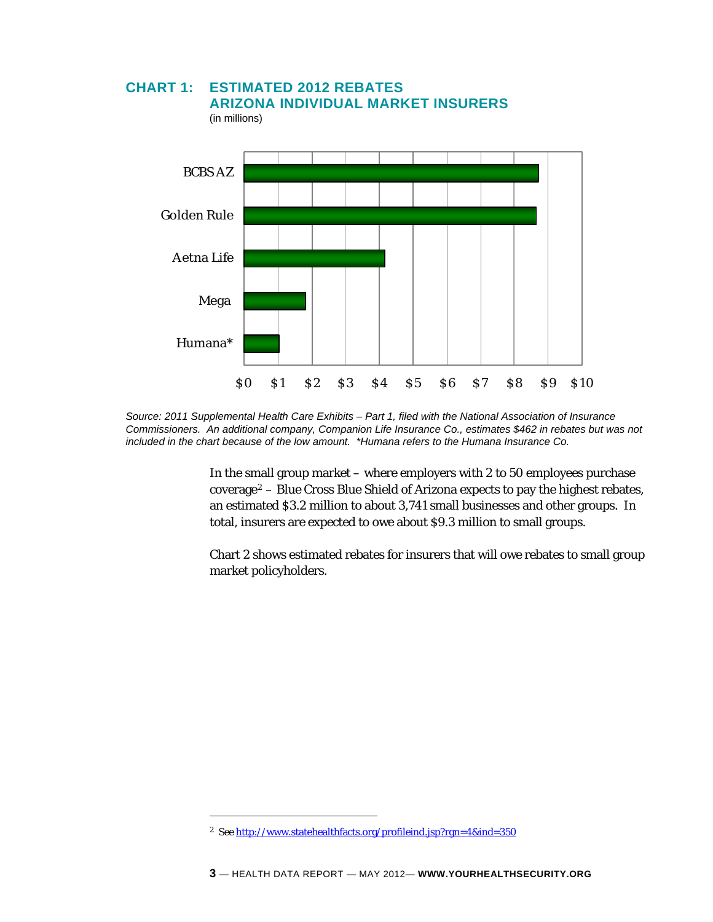## **CHART 1: ESTIMATED 2012 REBATES ARIZONA INDIVIDUAL MARKET INSURERS**

(in millions)



*Source: 2011 Supplemental Health Care Exhibits – Part 1, filed with the National Association of Insurance Commissioners. An additional company, Companion Life Insurance Co., estimates \$462 in rebates but was not included in the chart because of the low amount. \*Humana refers to the Humana Insurance Co.* 

In the small group market – where employers with 2 to 50 employees purchase coverage[2](#page-2-0) – Blue Cross Blue Shield of Arizona expects to pay the highest rebates, an estimated \$3.2 million to about 3,741 small businesses and other groups. In total, insurers are expected to owe about \$9.3 million to small groups.

Chart 2 shows estimated rebates for insurers that will owe rebates to small group market policyholders.

<span id="page-2-0"></span><sup>2</sup> *See* <http://www.statehealthfacts.org/profileind.jsp?rgn=4&ind=350>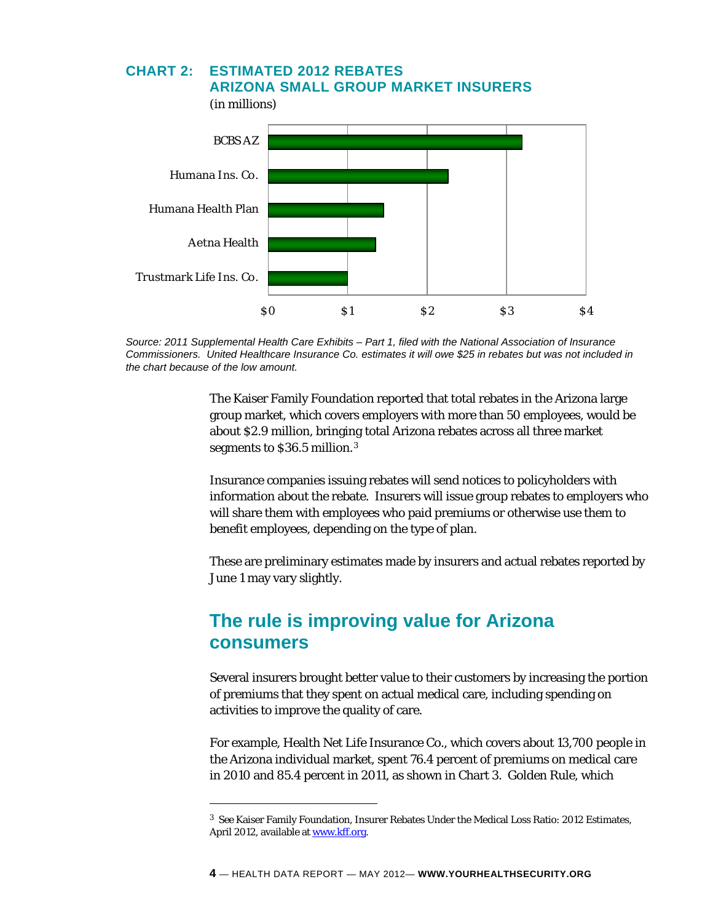#### **CHART 2: ESTIMATED 2012 REBATES**

(in millions)

i<br>L

 $$0$   $$1$   $$2$   $$3$   $$4$ Trustmark Life Ins. Co. Aetna Health Humana Health Plan Humana Ins. Co. BCBS AZ

 **ARIZONA SMALL GROUP MARKET INSURERS** 



The Kaiser Family Foundation reported that total rebates in the Arizona large group market, which covers employers with more than 50 employees, would be about \$2.9 million, bringing total Arizona rebates across all three market segments to \$36.5 million.[3](#page-3-0)

Insurance companies issuing rebates will send notices to policyholders with information about the rebate. Insurers will issue group rebates to employers who will share them with employees who paid premiums or otherwise use them to benefit employees, depending on the type of plan.

These are preliminary estimates made by insurers and actual rebates reported by June 1 may vary slightly.

# **The rule is improving value for Arizona consumers**

Several insurers brought better value to their customers by increasing the portion of premiums that they spent on actual medical care, including spending on activities to improve the quality of care.

For example, Health Net Life Insurance Co., which covers about 13,700 people in the Arizona individual market, spent 76.4 percent of premiums on medical care in 2010 and 85.4 percent in 2011, as shown in Chart 3. Golden Rule, which

<span id="page-3-0"></span><sup>3</sup> *See* Kaiser Family Foundation, Insurer Rebates Under the Medical Loss Ratio: 2012 Estimates, April 2012, available at [www.kff.org](http://www.kff.org/).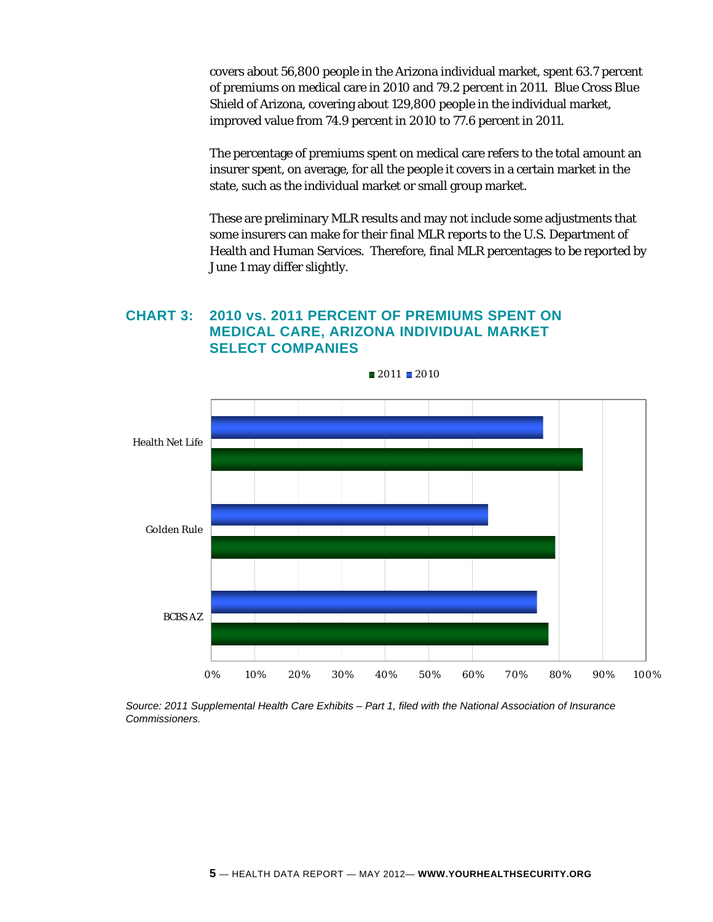covers about 56,800 people in the Arizona individual market, spent 63.7 percent of premiums on medical care in 2010 and 79.2 percent in 2011. Blue Cross Blue Shield of Arizona, covering about 129,800 people in the individual market, improved value from 74.9 percent in 2010 to 77.6 percent in 2011.

The percentage of premiums spent on medical care refers to the total amount an insurer spent, on average, for all the people it covers in a certain market in the state, such as the individual market or small group market.

These are preliminary MLR results and may not include some adjustments that some insurers can make for their final MLR reports to the U.S. Department of Health and Human Services. Therefore, final MLR percentages to be reported by June 1 may differ slightly.

### **CHART 3: 2010 vs. 2011 PERCENT OF PREMIUMS SPENT ON MEDICAL CARE, ARIZONA INDIVIDUAL MARKET SELECT COMPANIES**



*Source: 2011 Supplemental Health Care Exhibits – Part 1, filed with the National Association of Insurance Commissioners.*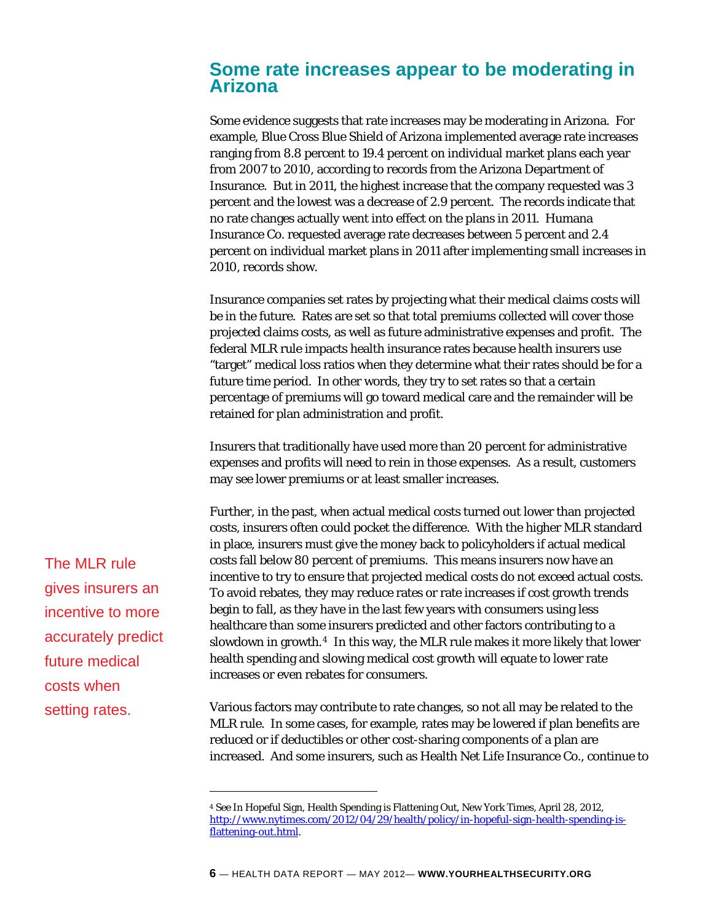## **Some rate increases appear to be moderating in Arizona**

Some evidence suggests that rate increases may be moderating in Arizona. For example, Blue Cross Blue Shield of Arizona implemented average rate increases ranging from 8.8 percent to 19.4 percent on individual market plans each year from 2007 to 2010, according to records from the Arizona Department of Insurance. But in 2011, the highest increase that the company requested was 3 percent and the lowest was a decrease of 2.9 percent. The records indicate that no rate changes actually went into effect on the plans in 2011. Humana Insurance Co. requested average rate decreases between 5 percent and 2.4 percent on individual market plans in 2011 after implementing small increases in 2010, records show.

Insurance companies set rates by projecting what their medical claims costs will be in the future. Rates are set so that total premiums collected will cover those projected claims costs, as well as future administrative expenses and profit. The federal MLR rule impacts health insurance rates because health insurers use "target" medical loss ratios when they determine what their rates should be for a future time period. In other words, they try to set rates so that a certain percentage of premiums will go toward medical care and the remainder will be retained for plan administration and profit.

Insurers that traditionally have used more than 20 percent for administrative expenses and profits will need to rein in those expenses. As a result, customers may see lower premiums or at least smaller increases.

Further, in the past, when actual medical costs turned out lower than projected costs, insurers often could pocket the difference. With the higher MLR standard in place, insurers must give the money back to policyholders if actual medical costs fall below 80 percent of premiums. This means insurers now have an incentive to try to ensure that projected medical costs do not exceed actual costs. To avoid rebates, they may reduce rates or rate increases if cost growth trends begin to fall, as they have in the last few years with consumers using less healthcare than some insurers predicted and other factors contributing to a slowdown in growth.[4](#page-5-0) In this way, the MLR rule makes it more likely that lower health spending and slowing medical cost growth will equate to lower rate increases or even rebates for consumers.

<span id="page-5-0"></span>setting rates. Various factors may contribute to rate changes, so not all may be related to the MLR rule. In some cases, for example, rates may be lowered if plan benefits are reduced or if deductibles or other cost-sharing components of a plan are increased. And some insurers, such as Health Net Life Insurance Co., continue to

The MLR rule gives insurers an incentive to more accurately predict future medical costs when

<sup>4</sup> *See* In Hopeful Sign, Health Spending is Flattening Out, New York Times, April 28, 2012, [http://www.nytimes.com/2012/04/29/health/policy/in-hopeful-sign-health-spending-is](http://www.nytimes.com/2012/04/29/health/policy/in-hopeful-sign-health-spending-is-flattening-out.html)[flattening-out.html](http://www.nytimes.com/2012/04/29/health/policy/in-hopeful-sign-health-spending-is-flattening-out.html).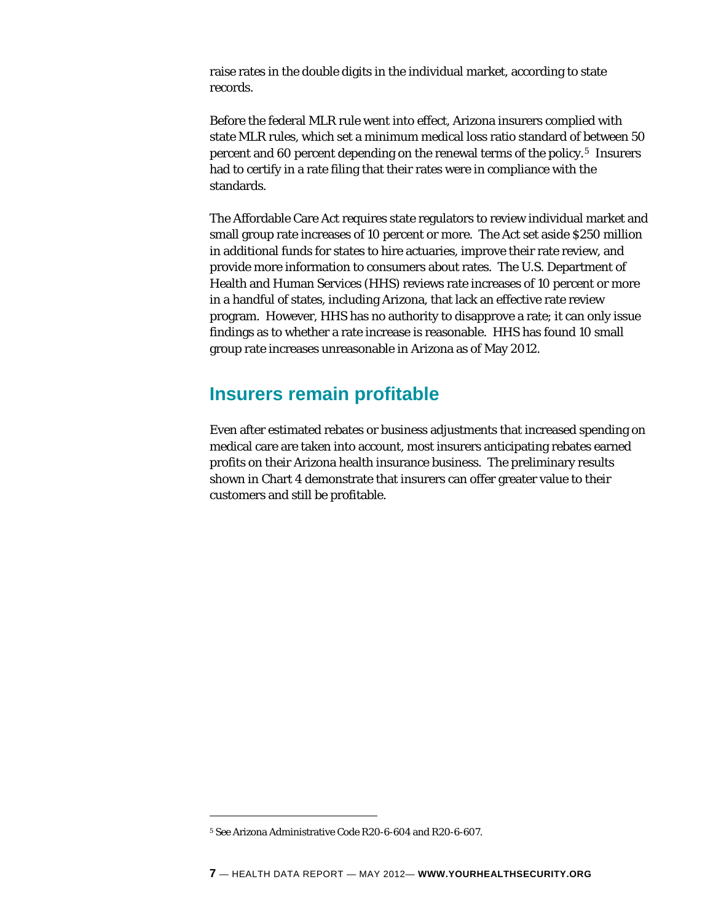raise rates in the double digits in the individual market, according to state records.

Before the federal MLR rule went into effect, Arizona insurers complied with state MLR rules, which set a minimum medical loss ratio standard of between 50 percent and 60 percent depending on the renewal terms of the policy.[5](#page-6-0) Insurers had to certify in a rate filing that their rates were in compliance with the standards.

The Affordable Care Act requires state regulators to review individual market and small group rate increases of 10 percent or more. The Act set aside \$250 million in additional funds for states to hire actuaries, improve their rate review, and provide more information to consumers about rates. The U.S. Department of Health and Human Services (HHS) reviews rate increases of 10 percent or more in a handful of states, including Arizona, that lack an effective rate review program. However, HHS has no authority to disapprove a rate; it can only issue findings as to whether a rate increase is reasonable. HHS has found 10 small group rate increases unreasonable in Arizona as of May 2012.

## **Insurers remain profitable**

Even after estimated rebates or business adjustments that increased spending on medical care are taken into account, most insurers anticipating rebates earned profits on their Arizona health insurance business. The preliminary results shown in Chart 4 demonstrate that insurers can offer greater value to their customers and still be profitable.

<span id="page-6-0"></span><sup>5</sup> *See* Arizona Administrative Code R20-6-604 and R20-6-607.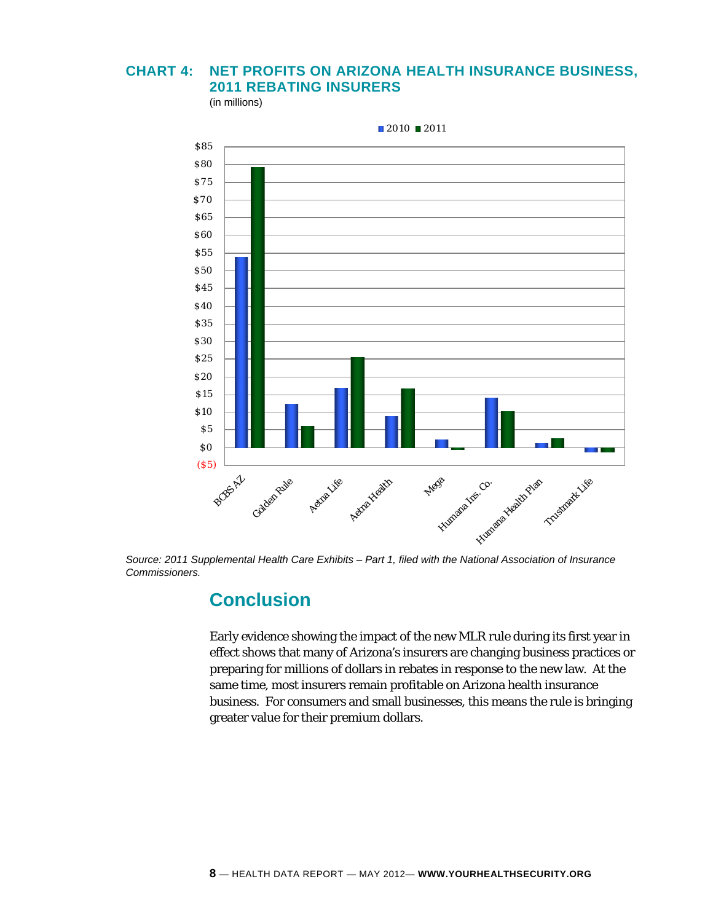### **CHART 4: NET PROFITS ON ARIZONA HEALTH INSURANCE BUSINESS, 2011 REBATING INSURERS**

(in millions)



*Source: 2011 Supplemental Health Care Exhibits – Part 1, filed with the National Association of Insurance Commissioners.* 

# **Conclusion**

Early evidence showing the impact of the new MLR rule during its first year in effect shows that many of Arizona's insurers are changing business practices or preparing for millions of dollars in rebates in response to the new law. At the same time, most insurers remain profitable on Arizona health insurance business. For consumers and small businesses, this means the rule is bringing greater value for their premium dollars.